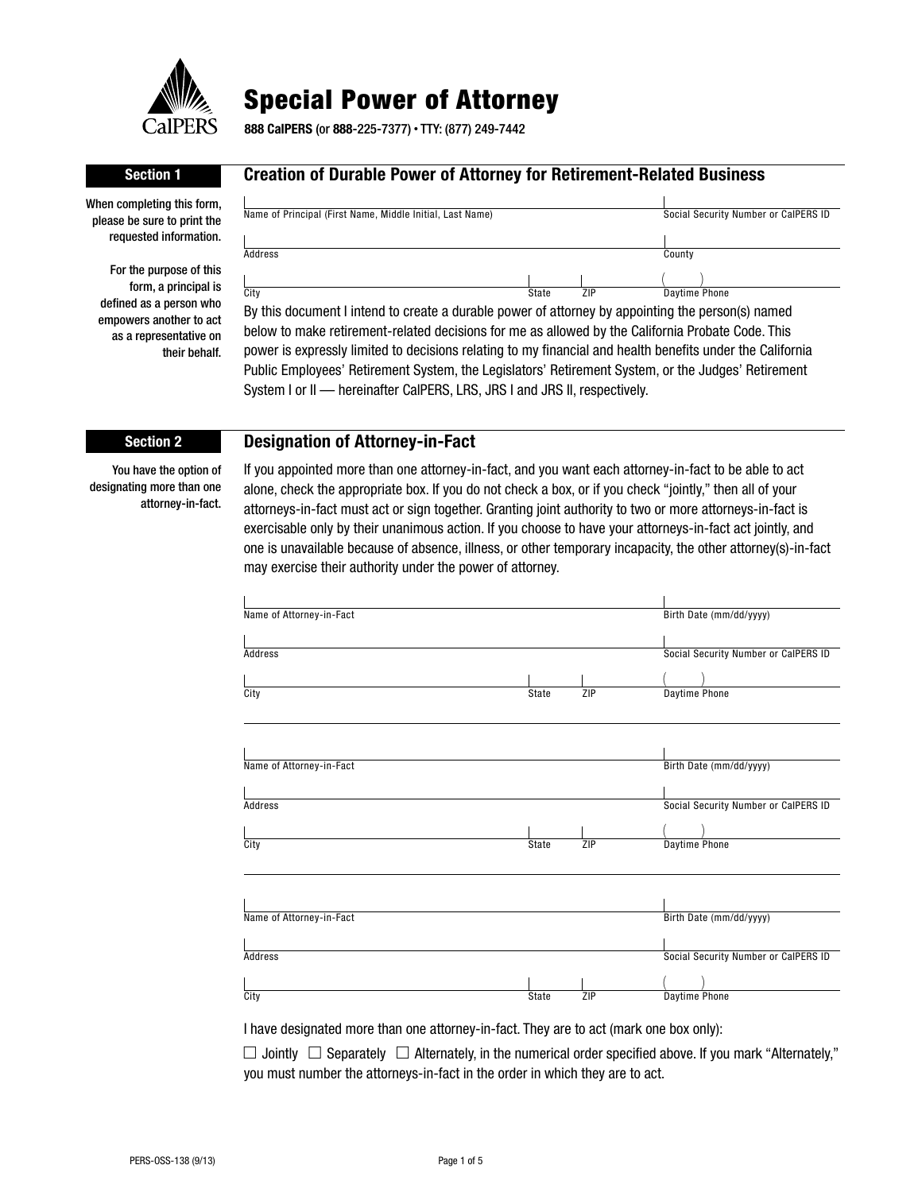

# Special Power of Attorney

**888 CalPERS** (or **888**-225-7377) • TTY: (877) 249-7442

#### When completing this form, please be sure to print the requested information.

For the purpose of this form, a principal is defined as a person who empowers another to act as a representative on their behalf.

## **Section 1 Creation of Durable Power of Attorney for Retirement-Related Business**

| Name of Principal (First Name, Middle Initial, Last Name) |       |     | Social Security Number or CalPERS ID |
|-----------------------------------------------------------|-------|-----|--------------------------------------|
|                                                           |       |     |                                      |
| Address                                                   |       |     | County                               |
|                                                           |       |     |                                      |
| City                                                      | State | ZIP | Daytime Phone                        |

By this document I intend to create a durable power of attorney by appointing the person(s) named below to make retirement-related decisions for me as allowed by the California Probate Code. This power is expressly limited to decisions relating to my financial and health benefits under the California Public Employees' Retirement System, the Legislators' Retirement System, or the Judges' Retirement System I or II - hereinafter CaIPERS, LRS, JRS I and JRS II, respectively.

### **Section 2 Designation of Attorney-in-Fact**

You have the option of designating more than one attorney-in-fact.

If you appointed more than one attorney-in-fact, and you want each attorney-in-fact to be able to act alone, check the appropriate box. If you do not check a box, or if you check "jointly," then all of your attorneys-in-fact must act or sign together. Granting joint authority to two or more attorneys-in-fact is exercisable only by their unanimous action. If you choose to have your attorneys-in-fact act jointly, and one is unavailable because of absence, illness, or other temporary incapacity, the other attorney(s)-in-fact may exercise their authority under the power of attorney.

| Name of Attorney-in-Fact |              |     | Birth Date (mm/dd/yyyy)              |
|--------------------------|--------------|-----|--------------------------------------|
|                          |              |     |                                      |
| <b>Address</b>           |              |     | Social Security Number or CalPERS ID |
|                          |              |     |                                      |
| City                     | State        | ZIP | Daytime Phone                        |
|                          |              |     |                                      |
| Name of Attorney-in-Fact |              |     |                                      |
|                          |              |     | Birth Date (mm/dd/yyyy)              |
|                          |              |     |                                      |
| Address                  |              |     | Social Security Number or CalPERS ID |
|                          |              |     |                                      |
| City                     | State        | ZIP | Daytime Phone                        |
|                          |              |     |                                      |
|                          |              |     |                                      |
| Name of Attorney-in-Fact |              |     | Birth Date (mm/dd/yyyy)              |
|                          |              |     |                                      |
| Address                  |              |     | Social Security Number or CalPERS ID |
|                          |              |     |                                      |
| City                     | <b>State</b> | ZIP | Daytime Phone                        |

I have designated more than one attorney-in-fact. They are to act (mark one box only):

 $\Box$  Jointly  $\Box$  Separately  $\Box$  Alternately, in the numerical order specified above. If you mark "Alternately," you must number the attorneys-in-fact in the order in which they are to act.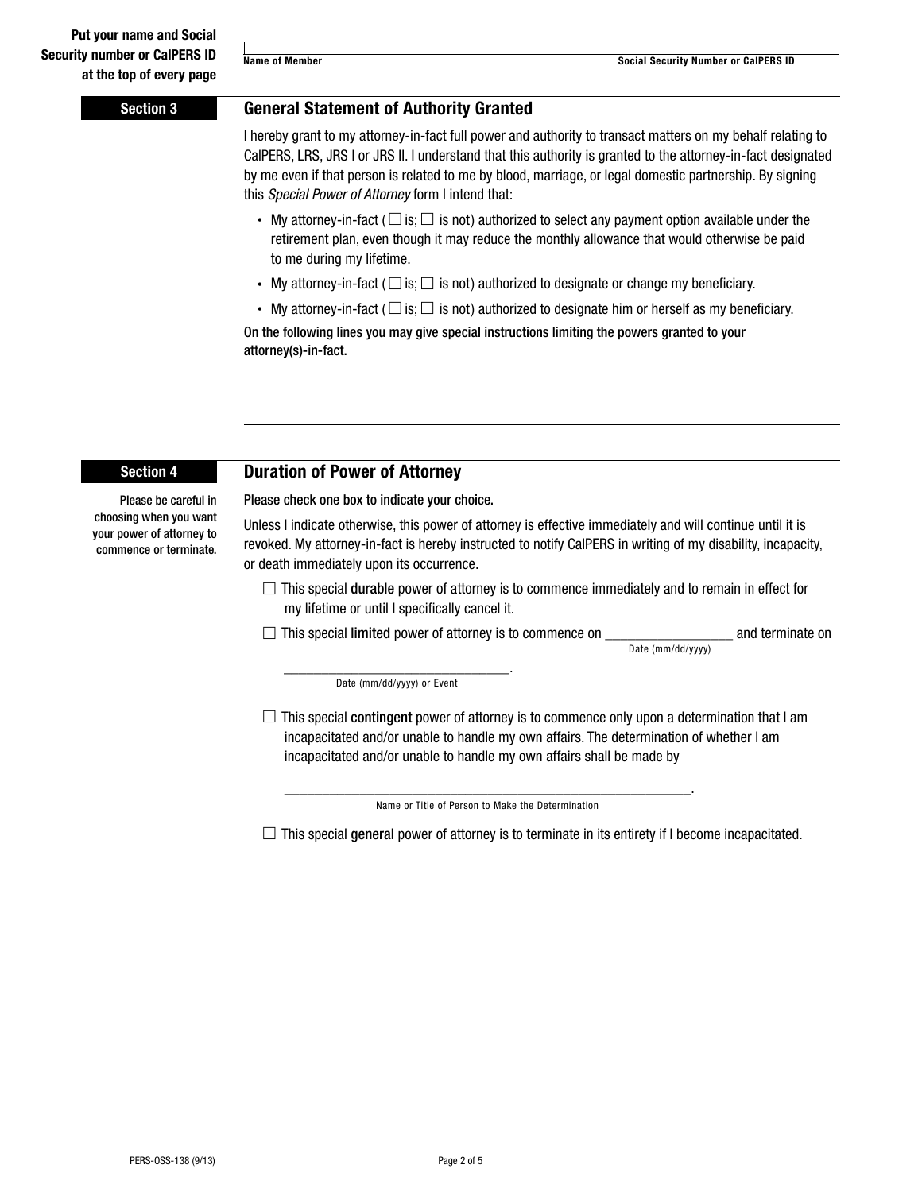### **Section 3 General Statement of Authority Granted**

I hereby grant to my attorney-in-fact full power and authority to transact matters on my behalf relating to CalPERS, LRS, JRS I or JRS II. I understand that this authority is granted to the attorney-in-fact designated by me even if that person is related to me by blood, marriage, or legal domestic partnership. By signing this *Special Power of Attorney* form I intend that:

- My attorney-in-fact ( $\Box$  is;  $\Box$  is not) authorized to select any payment option available under the retirement plan, even though it may reduce the monthly allowance that would otherwise be paid to me during my lifetime.
- My attorney-in-fact ( $\Box$  is;  $\Box$  is not) authorized to designate or change my beneficiary.
- My attorney-in-fact ( $\Box$  is;  $\Box$  is not) authorized to designate him or herself as my beneficiary.

On the following lines you may give special instructions limiting the powers granted to your attorney(s)-in-fact.

### **Section 4 Duration of Power of Attorney**

Please check one box to indicate your choice.

Please be careful in choosing when you want your power of attorney to commence or terminate.

Unless I indicate otherwise, this power of attorney is effective immediately and will continue until it is revoked. My attorney-in-fact is hereby instructed to notify CalPERS in writing of my disability, incapacity,

or death immediately upon its occurrence.  $\Box$  This special durable power of attorney is to commence immediately and to remain in effect for

- my lifetime or until I specifically cancel it.
- $\Box$  This special limited power of attorney is to commence on  $\Box$  and terminate on Date (mm/dd/yyyy)

\_\_\_\_\_\_\_\_\_\_\_\_\_\_\_\_\_\_\_\_\_\_\_\_\_\_\_\_\_\_. Date (mm/dd/yyyy) or Event

 $\Box$  This special contingent power of attorney is to commence only upon a determination that I am incapacitated and/or unable to handle my own affairs. The determination of whether I am incapacitated and/or unable to handle my own affairs shall be made by

\_\_\_\_\_\_\_\_\_\_\_\_\_\_\_\_\_\_\_\_\_\_\_\_\_\_\_\_\_\_\_\_\_\_\_\_\_\_\_\_\_\_\_\_\_\_\_\_\_\_\_\_\_\_. Name or Title of Person to Make the Determination

 $\Box$  This special general power of attorney is to terminate in its entirety if I become incapacitated.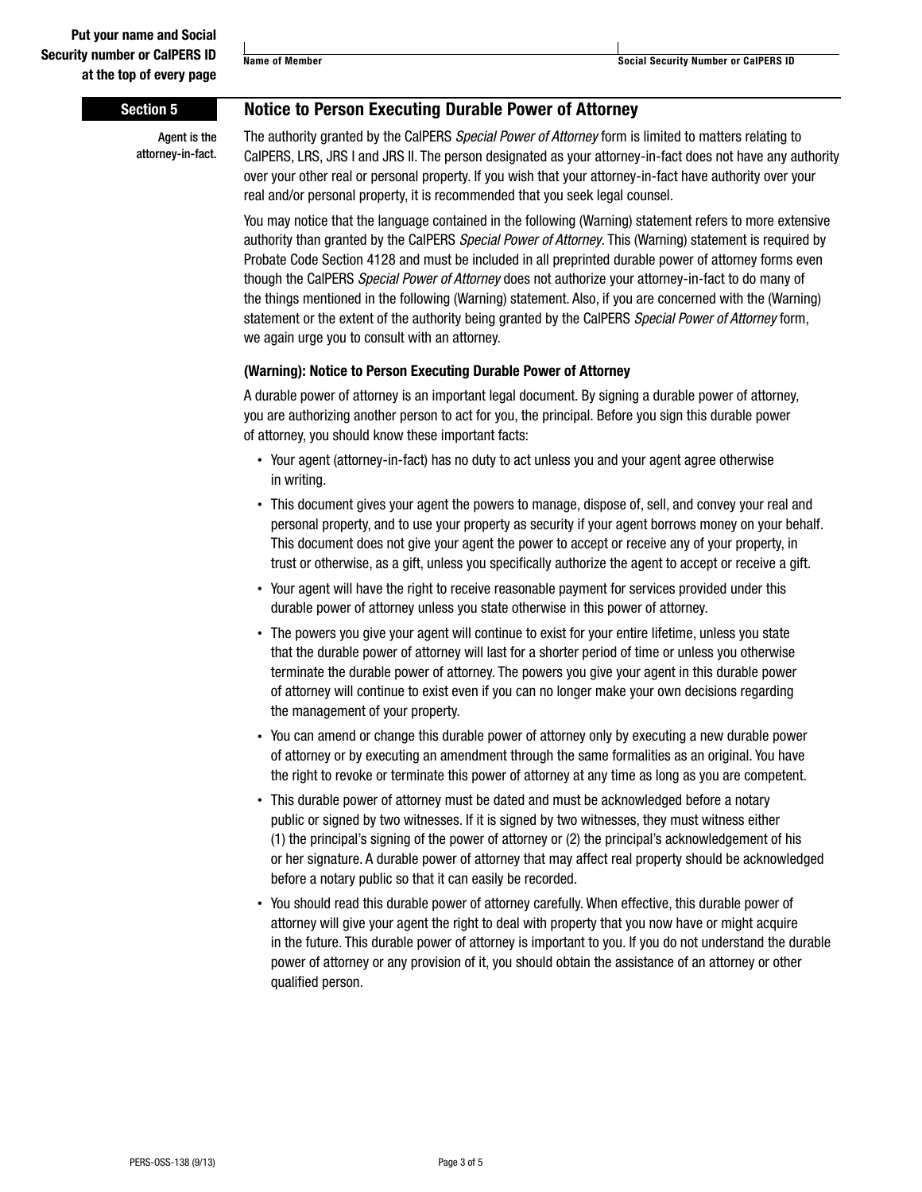### **Section 5 Notice to Person Executing Durable Power of Attorney**

Agent is the attorney-in-fact. The authority granted by the CalPERS *Special Power of Attorney* form is limited to matters relating to CalPERS, LRS, JRS I and JRS II. The person designated as your attorney-in-fact does not have any authority over your other real or personal property. If you wish that your attorney-in-fact have authority over your real and/or personal property, it is recommended that you seek legal counsel.

You may notice that the language contained in the following (Warning) statement refers to more extensive authority than granted by the CalPERS *Special Power of Attorney*. This (Warning) statement is required by Probate Code Section 4128 and must be included in all preprinted durable power of attorney forms even though the CalPERS *Special Power of Attorney* does not authorize your attorney-in-fact to do many of the things mentioned in the following (Warning) statement. Also, if you are concerned with the (Warning) statement or the extent of the authority being granted by the CalPERS *Special Power of Attorney* form, we again urge you to consult with an attorney.

#### **(Warning): Notice to Person Executing Durable Power of Attorney**

A durable power of attorney is an important legal document. By signing a durable power of attorney, you are authorizing another person to act for you, the principal. Before you sign this durable power of attorney, you should know these important facts:

- Your agent (attorney-in-fact) has no duty to act unless you and your agent agree otherwise in writing.
- This document gives your agent the powers to manage, dispose of, sell, and convey your real and personal property, and to use your property as security if your agent borrows money on your behalf. This document does not give your agent the power to accept or receive any of your property, in trust or otherwise, as a gift, unless you specifically authorize the agent to accept or receive a gift.
- Your agent will have the right to receive reasonable payment for services provided under this durable power of attorney unless you state otherwise in this power of attorney.
- The powers you give your agent will continue to exist for your entire lifetime, unless you state that the durable power of attorney will last for a shorter period of time or unless you otherwise terminate the durable power of attorney. The powers you give your agent in this durable power of attorney will continue to exist even if you can no longer make your own decisions regarding the management of your property.
- You can amend or change this durable power of attorney only by executing a new durable power of attorney or by executing an amendment through the same formalities as an original. You have the right to revoke or terminate this power of attorney at any time as long as you are competent.
- This durable power of attorney must be dated and must be acknowledged before a notary public or signed by two witnesses. If it is signed by two witnesses, they must witness either (1) the principal's signing of the power of attorney or (2) the principal's acknowledgement of his or her signature. A durable power of attorney that may affect real property should be acknowledged before a notary public so that it can easily be recorded.
- You should read this durable power of attorney carefully. When effective, this durable power of attorney will give your agent the right to deal with property that you now have or might acquire in the future. This durable power of attorney is important to you. If you do not understand the durable power of attorney or any provision of it, you should obtain the assistance of an attorney or other qualified person.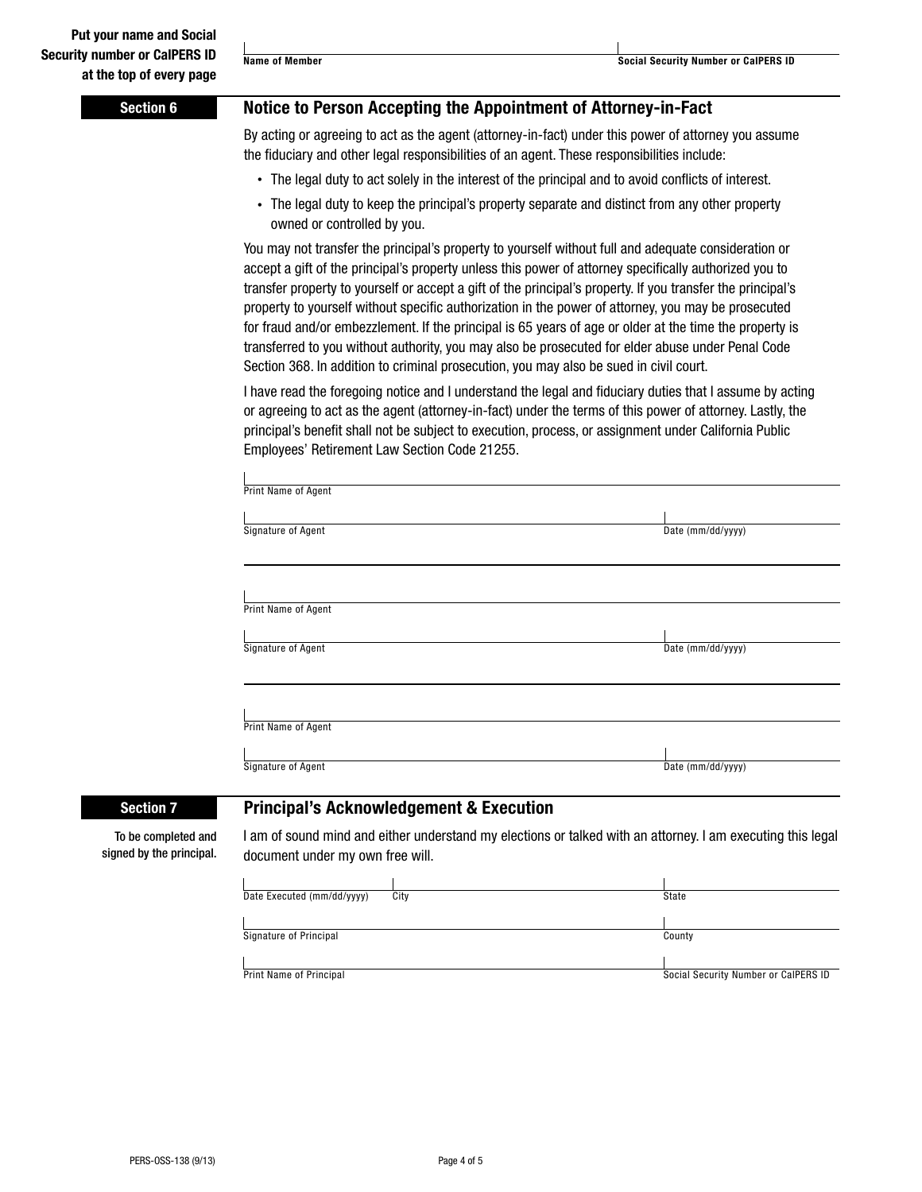**Name of Member Name of Member Social Security Number or CalPERS ID** 

| <b>Section 6</b>                                | Notice to Person Accepting the Appointment of Attorney-in-Fact                                                                                                                                                                                                                                                                                                                                                                                                                                                                                                                                                                                                                                                                                                                                                                                                                                                                                                                                                                                                                                                                                                                                                                                                                                                                                                                                                                                                                                                                                                                    |                                      |  |  |  |                     |                   |
|-------------------------------------------------|-----------------------------------------------------------------------------------------------------------------------------------------------------------------------------------------------------------------------------------------------------------------------------------------------------------------------------------------------------------------------------------------------------------------------------------------------------------------------------------------------------------------------------------------------------------------------------------------------------------------------------------------------------------------------------------------------------------------------------------------------------------------------------------------------------------------------------------------------------------------------------------------------------------------------------------------------------------------------------------------------------------------------------------------------------------------------------------------------------------------------------------------------------------------------------------------------------------------------------------------------------------------------------------------------------------------------------------------------------------------------------------------------------------------------------------------------------------------------------------------------------------------------------------------------------------------------------------|--------------------------------------|--|--|--|---------------------|-------------------|
|                                                 | By acting or agreeing to act as the agent (attorney-in-fact) under this power of attorney you assume<br>the fiduciary and other legal responsibilities of an agent. These responsibilities include:<br>• The legal duty to act solely in the interest of the principal and to avoid conflicts of interest.<br>• The legal duty to keep the principal's property separate and distinct from any other property<br>owned or controlled by you.<br>You may not transfer the principal's property to yourself without full and adequate consideration or<br>accept a gift of the principal's property unless this power of attorney specifically authorized you to<br>transfer property to yourself or accept a gift of the principal's property. If you transfer the principal's<br>property to yourself without specific authorization in the power of attorney, you may be prosecuted<br>for fraud and/or embezzlement. If the principal is 65 years of age or older at the time the property is<br>transferred to you without authority, you may also be prosecuted for elder abuse under Penal Code<br>Section 368. In addition to criminal prosecution, you may also be sued in civil court.<br>I have read the foregoing notice and I understand the legal and fiduciary duties that I assume by acting<br>or agreeing to act as the agent (attorney-in-fact) under the terms of this power of attorney. Lastly, the<br>principal's benefit shall not be subject to execution, process, or assignment under California Public<br>Employees' Retirement Law Section Code 21255. |                                      |  |  |  |                     |                   |
|                                                 |                                                                                                                                                                                                                                                                                                                                                                                                                                                                                                                                                                                                                                                                                                                                                                                                                                                                                                                                                                                                                                                                                                                                                                                                                                                                                                                                                                                                                                                                                                                                                                                   |                                      |  |  |  |                     |                   |
|                                                 |                                                                                                                                                                                                                                                                                                                                                                                                                                                                                                                                                                                                                                                                                                                                                                                                                                                                                                                                                                                                                                                                                                                                                                                                                                                                                                                                                                                                                                                                                                                                                                                   |                                      |  |  |  | Print Name of Agent |                   |
|                                                 |                                                                                                                                                                                                                                                                                                                                                                                                                                                                                                                                                                                                                                                                                                                                                                                                                                                                                                                                                                                                                                                                                                                                                                                                                                                                                                                                                                                                                                                                                                                                                                                   |                                      |  |  |  |                     |                   |
|                                                 |                                                                                                                                                                                                                                                                                                                                                                                                                                                                                                                                                                                                                                                                                                                                                                                                                                                                                                                                                                                                                                                                                                                                                                                                                                                                                                                                                                                                                                                                                                                                                                                   |                                      |  |  |  | Signature of Agent  | Date (mm/dd/yyyy) |
|                                                 |                                                                                                                                                                                                                                                                                                                                                                                                                                                                                                                                                                                                                                                                                                                                                                                                                                                                                                                                                                                                                                                                                                                                                                                                                                                                                                                                                                                                                                                                                                                                                                                   |                                      |  |  |  |                     |                   |
| Print Name of Agent                             |                                                                                                                                                                                                                                                                                                                                                                                                                                                                                                                                                                                                                                                                                                                                                                                                                                                                                                                                                                                                                                                                                                                                                                                                                                                                                                                                                                                                                                                                                                                                                                                   |                                      |  |  |  |                     |                   |
| Signature of Agent                              | Date (mm/dd/yyyy)                                                                                                                                                                                                                                                                                                                                                                                                                                                                                                                                                                                                                                                                                                                                                                                                                                                                                                                                                                                                                                                                                                                                                                                                                                                                                                                                                                                                                                                                                                                                                                 |                                      |  |  |  |                     |                   |
|                                                 |                                                                                                                                                                                                                                                                                                                                                                                                                                                                                                                                                                                                                                                                                                                                                                                                                                                                                                                                                                                                                                                                                                                                                                                                                                                                                                                                                                                                                                                                                                                                                                                   |                                      |  |  |  |                     |                   |
| Print Name of Agent                             |                                                                                                                                                                                                                                                                                                                                                                                                                                                                                                                                                                                                                                                                                                                                                                                                                                                                                                                                                                                                                                                                                                                                                                                                                                                                                                                                                                                                                                                                                                                                                                                   |                                      |  |  |  |                     |                   |
| Signature of Agent                              | Date (mm/dd/yyyy)                                                                                                                                                                                                                                                                                                                                                                                                                                                                                                                                                                                                                                                                                                                                                                                                                                                                                                                                                                                                                                                                                                                                                                                                                                                                                                                                                                                                                                                                                                                                                                 |                                      |  |  |  |                     |                   |
| <b>Section 7</b>                                | <b>Principal's Acknowledgement &amp; Execution</b>                                                                                                                                                                                                                                                                                                                                                                                                                                                                                                                                                                                                                                                                                                                                                                                                                                                                                                                                                                                                                                                                                                                                                                                                                                                                                                                                                                                                                                                                                                                                |                                      |  |  |  |                     |                   |
| To be completed and<br>signed by the principal. | I am of sound mind and either understand my elections or talked with an attorney. I am executing this legal<br>document under my own free will.                                                                                                                                                                                                                                                                                                                                                                                                                                                                                                                                                                                                                                                                                                                                                                                                                                                                                                                                                                                                                                                                                                                                                                                                                                                                                                                                                                                                                                   |                                      |  |  |  |                     |                   |
|                                                 | Date Executed (mm/dd/yyyy)<br>City                                                                                                                                                                                                                                                                                                                                                                                                                                                                                                                                                                                                                                                                                                                                                                                                                                                                                                                                                                                                                                                                                                                                                                                                                                                                                                                                                                                                                                                                                                                                                | State                                |  |  |  |                     |                   |
|                                                 | Signature of Principal                                                                                                                                                                                                                                                                                                                                                                                                                                                                                                                                                                                                                                                                                                                                                                                                                                                                                                                                                                                                                                                                                                                                                                                                                                                                                                                                                                                                                                                                                                                                                            | County                               |  |  |  |                     |                   |
|                                                 | Print Name of Principal                                                                                                                                                                                                                                                                                                                                                                                                                                                                                                                                                                                                                                                                                                                                                                                                                                                                                                                                                                                                                                                                                                                                                                                                                                                                                                                                                                                                                                                                                                                                                           | Social Security Number or CalPERS ID |  |  |  |                     |                   |